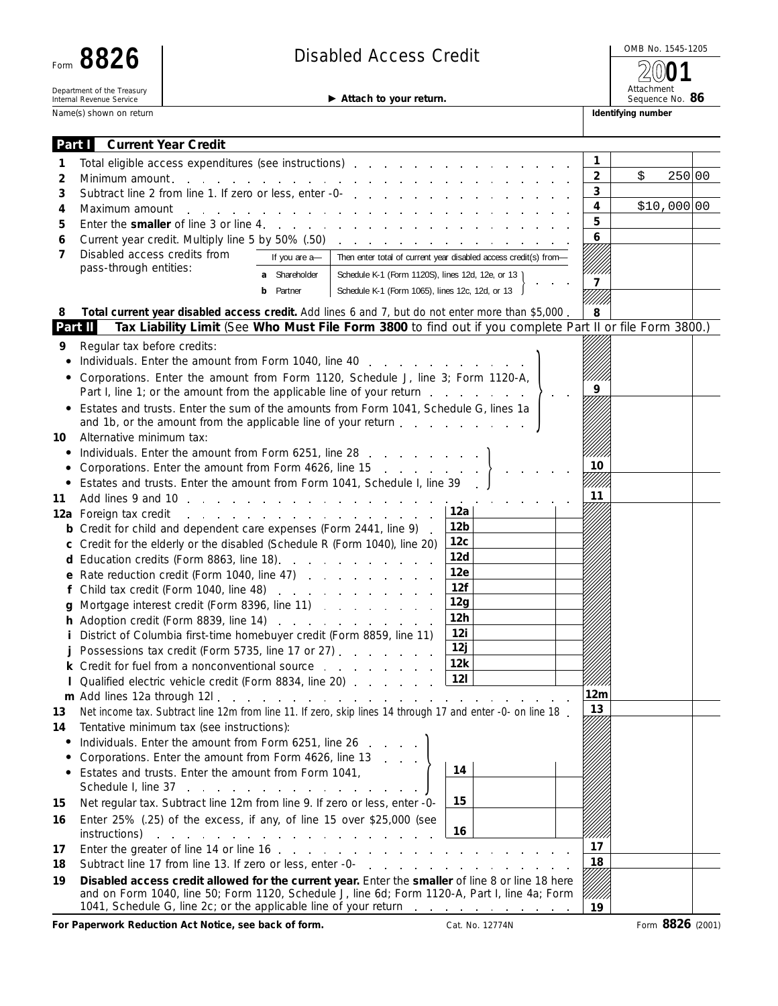| Form                                                   |  |  |  |  |  |  |
|--------------------------------------------------------|--|--|--|--|--|--|
| Department of the Treasury<br>Internal Revenue Service |  |  |  |  |  |  |

**Name(s) shown on return** 

# Disabled Access Credit **8826 8826** and **8826** and **8826** and **8826 8826 8926 8936 8936 8936 8936 8936 8936 8936 8936 8936 8936 8936 8936 8936 8936 8936 8936 8936 8936 8936 8936**

Attachment

**2001**

| $\blacktriangleright$ Attach to your return. |  |
|----------------------------------------------|--|
|                                              |  |

Sequence No. 86

| Part T                                                                     | <b>Current Year Credit</b>                                                                                                                                                                                                                                                                                                                                                                      |               |                                                              |                                                                                 |        |             |  |
|----------------------------------------------------------------------------|-------------------------------------------------------------------------------------------------------------------------------------------------------------------------------------------------------------------------------------------------------------------------------------------------------------------------------------------------------------------------------------------------|---------------|--------------------------------------------------------------|---------------------------------------------------------------------------------|--------|-------------|--|
| 1                                                                          | 1<br>Total eligible access expenditures (see instructions)                                                                                                                                                                                                                                                                                                                                      |               |                                                              |                                                                                 |        |             |  |
| 2                                                                          | $\overline{2}$<br>\$<br>250 00<br>Minimum amount.<br>and the state of the state of the<br>the contract of the contract of the contract of the contract of                                                                                                                                                                                                                                       |               |                                                              |                                                                                 |        |             |  |
| 3                                                                          |                                                                                                                                                                                                                                                                                                                                                                                                 |               |                                                              |                                                                                 | 3      |             |  |
| 4                                                                          | Maximum amount<br>and a state of                                                                                                                                                                                                                                                                                                                                                                |               |                                                              | the contract of the contract of the contract of the contract of the contract of | 4      | \$10,000 00 |  |
| 5                                                                          | Enter the smaller of line 3 or line 4.                                                                                                                                                                                                                                                                                                                                                          |               |                                                              |                                                                                 | 5      |             |  |
| 6                                                                          | Current year credit. Multiply line 5 by 50% (.50)                                                                                                                                                                                                                                                                                                                                               |               |                                                              | and the contract of the contract of the contract of the                         | 6      |             |  |
| 7                                                                          | Disabled access credits from                                                                                                                                                                                                                                                                                                                                                                    | If you are a- |                                                              | Then enter total of current year disabled access credit(s) from-                |        |             |  |
|                                                                            | pass-through entities:                                                                                                                                                                                                                                                                                                                                                                          | a Shareholder | Schedule K-1 (Form 1120S), lines 12d, 12e, or 13 )           |                                                                                 |        |             |  |
|                                                                            | Schedule K-1 (Form 1065), lines 12c, 12d, or 13<br><b>b</b> Partner                                                                                                                                                                                                                                                                                                                             |               |                                                              |                                                                                 | 7      |             |  |
| 8                                                                          | Total current year disabled access credit. Add lines 6 and 7, but do not enter more than \$5,000.                                                                                                                                                                                                                                                                                               |               |                                                              |                                                                                 | 8      |             |  |
| Part II                                                                    | Tax Liability Limit (See Who Must File Form 3800 to find out if you complete Part II or file Form 3800.)                                                                                                                                                                                                                                                                                        |               |                                                              |                                                                                 |        |             |  |
| 9                                                                          | Regular tax before credits:                                                                                                                                                                                                                                                                                                                                                                     |               |                                                              |                                                                                 |        |             |  |
|                                                                            | Individuals. Enter the amount from Form 1040, line 40                                                                                                                                                                                                                                                                                                                                           |               |                                                              |                                                                                 |        |             |  |
|                                                                            |                                                                                                                                                                                                                                                                                                                                                                                                 |               |                                                              |                                                                                 |        |             |  |
|                                                                            | Corporations. Enter the amount from Form 1120, Schedule J, line 3; Form 1120-A,<br>9<br>Part I, line 1; or the amount from the applicable line of your return                                                                                                                                                                                                                                   |               |                                                              |                                                                                 |        |             |  |
|                                                                            | Estates and trusts. Enter the sum of the amounts from Form 1041, Schedule G, lines 1a                                                                                                                                                                                                                                                                                                           |               |                                                              |                                                                                 |        |             |  |
|                                                                            | and 1b, or the amount from the applicable line of your return                                                                                                                                                                                                                                                                                                                                   |               |                                                              |                                                                                 |        |             |  |
| 10                                                                         | Alternative minimum tax:                                                                                                                                                                                                                                                                                                                                                                        |               |                                                              |                                                                                 |        |             |  |
| ٠                                                                          | Individuals. Enter the amount from Form 6251, line 28                                                                                                                                                                                                                                                                                                                                           |               |                                                              |                                                                                 |        |             |  |
|                                                                            | Corporations. Enter the amount from Form 4626, line 15 $\ldots$ , $\ldots$                                                                                                                                                                                                                                                                                                                      |               |                                                              |                                                                                 | 10     |             |  |
|                                                                            | Estates and trusts. Enter the amount from Form 1041, Schedule I, line 39.                                                                                                                                                                                                                                                                                                                       |               |                                                              |                                                                                 |        |             |  |
| 11                                                                         |                                                                                                                                                                                                                                                                                                                                                                                                 |               |                                                              |                                                                                 | 11     |             |  |
|                                                                            | 12a Foreign tax credit                                                                                                                                                                                                                                                                                                                                                                          |               |                                                              | 12a<br>12b                                                                      |        |             |  |
|                                                                            | <b>b</b> Credit for child and dependent care expenses (Form 2441, line 9).                                                                                                                                                                                                                                                                                                                      |               |                                                              | 12 <sub>c</sub>                                                                 |        |             |  |
| c Credit for the elderly or the disabled (Schedule R (Form 1040), line 20) |                                                                                                                                                                                                                                                                                                                                                                                                 |               | 12d                                                          |                                                                                 |        |             |  |
|                                                                            | d Education credits (Form 8863, line 18).<br>and the contract of the contract of<br>e Rate reduction credit (Form 1040, line 47)                                                                                                                                                                                                                                                                |               |                                                              | 12e                                                                             |        |             |  |
|                                                                            |                                                                                                                                                                                                                                                                                                                                                                                                 |               |                                                              | 12f                                                                             |        |             |  |
|                                                                            | g Mortgage interest credit (Form 8396, line 11)                                                                                                                                                                                                                                                                                                                                                 |               |                                                              | 12g                                                                             |        |             |  |
|                                                                            | h Adoption credit (Form 8839, line 14) Adoption credit (Form 8839, line 14)                                                                                                                                                                                                                                                                                                                     |               |                                                              | 12h                                                                             |        |             |  |
|                                                                            | <i>i</i> District of Columbia first-time homebuyer credit (Form 8859, line 11)                                                                                                                                                                                                                                                                                                                  |               |                                                              | 12i                                                                             |        |             |  |
|                                                                            | Possessions tax credit (Form 5735, line 17 or 27)                                                                                                                                                                                                                                                                                                                                               |               |                                                              | 12j                                                                             |        |             |  |
|                                                                            | <b>k</b> Credit for fuel from a nonconventional source response to the contract of the contract of the contract of the contract of the contract of the contract of the contract of the contract of the contract of the contract of                                                                                                                                                              |               |                                                              | 12k                                                                             |        |             |  |
|                                                                            | Qualified electric vehicle credit (Form 8834, line 20)                                                                                                                                                                                                                                                                                                                                          |               |                                                              | 121                                                                             |        |             |  |
|                                                                            |                                                                                                                                                                                                                                                                                                                                                                                                 |               |                                                              |                                                                                 | 12m    |             |  |
| 13                                                                         | Net income tax. Subtract line 12m from line 11. If zero, skip lines 14 through 17 and enter -0- on line 18.                                                                                                                                                                                                                                                                                     |               |                                                              |                                                                                 | 13     |             |  |
| 14                                                                         | Tentative minimum tax (see instructions):                                                                                                                                                                                                                                                                                                                                                       |               |                                                              |                                                                                 |        |             |  |
| ٠                                                                          | Individuals. Enter the amount from Form 6251, line 26                                                                                                                                                                                                                                                                                                                                           |               | $\mathcal{L}_{\mathcal{A}}$                                  |                                                                                 |        |             |  |
|                                                                            | Corporations. Enter the amount from Form 4626, line 13                                                                                                                                                                                                                                                                                                                                          |               |                                                              |                                                                                 |        |             |  |
| ٠                                                                          | Estates and trusts. Enter the amount from Form 1041,                                                                                                                                                                                                                                                                                                                                            |               |                                                              | 14                                                                              |        |             |  |
|                                                                            | Schedule I, line 37                                                                                                                                                                                                                                                                                                                                                                             |               |                                                              |                                                                                 |        |             |  |
| 15                                                                         | Net regular tax. Subtract line 12m from line 9. If zero or less, enter -0-                                                                                                                                                                                                                                                                                                                      |               |                                                              | 15                                                                              |        |             |  |
| 16                                                                         | Enter 25% (.25) of the excess, if any, of line 15 over \$25,000 (see                                                                                                                                                                                                                                                                                                                            |               |                                                              | 16                                                                              |        |             |  |
|                                                                            | instructions)                                                                                                                                                                                                                                                                                                                                                                                   |               | and the second contract of the second contract of the second |                                                                                 | 17     |             |  |
| 17                                                                         | 18                                                                                                                                                                                                                                                                                                                                                                                              |               |                                                              |                                                                                 |        |             |  |
| 18                                                                         | Subtract line 17 from line 13. If zero or less, enter -0-<br>and the contract of the contract of the contract of the contract of the contract of the contract of the contract of the contract of the contract of the contract of the contract of the contract of the contract of the contra<br>Disabled access credit allowed for the current year. Enter the smaller of line 8 or line 18 here |               |                                                              |                                                                                 |        |             |  |
| 19                                                                         | and on Form 1040, line 50; Form 1120, Schedule J, line 6d; Form 1120-A, Part I, line 4a; Form<br>1041, Schedule G, line 2c; or the applicable line of your return                                                                                                                                                                                                                               |               |                                                              |                                                                                 | ////// |             |  |
|                                                                            |                                                                                                                                                                                                                                                                                                                                                                                                 |               |                                                              |                                                                                 | 19     |             |  |

**For Paperwork Reduction Act Notice, see back of form.** Cat. No. 12774N Form 8826 (2001)